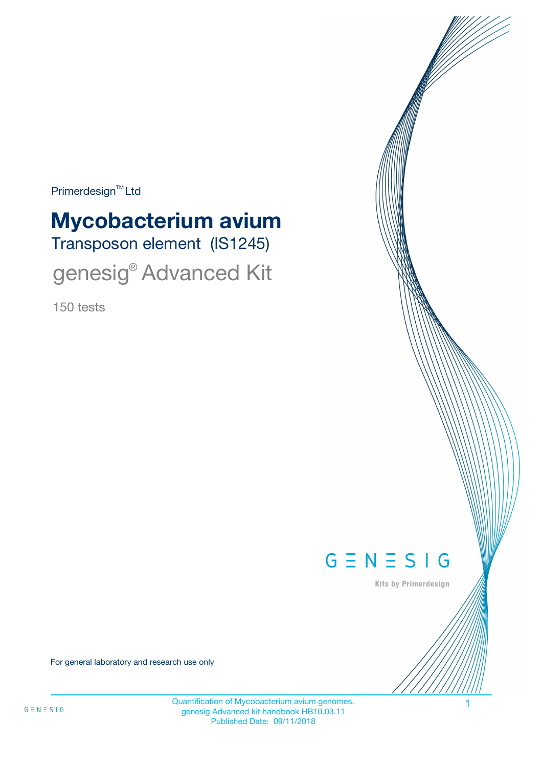Primerdesign<sup>™</sup>Ltd

# Transposon element (IS1245) **Mycobacterium avium**

genesig® Advanced Kit

150 tests



Kits by Primerdesign

For general laboratory and research use only

Quantification of Mycobacterium avium genomes. 1 genesig Advanced kit handbook HB10.03.11 Published Date: 09/11/2018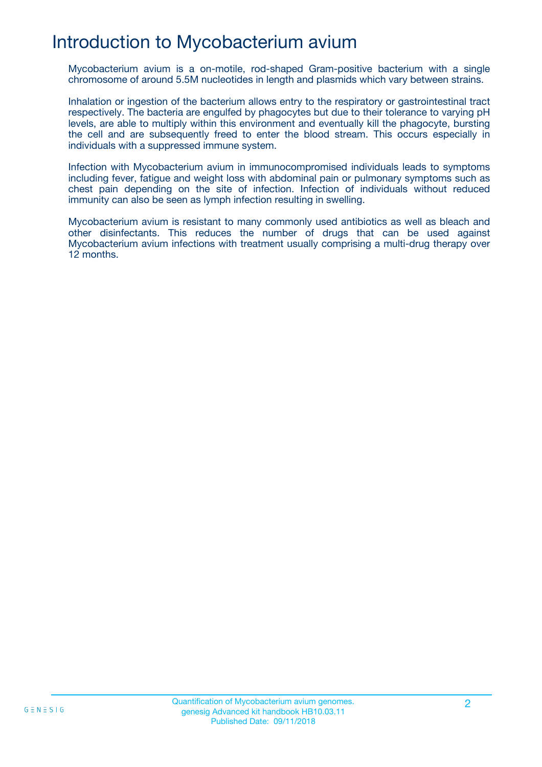## Introduction to Mycobacterium avium

Mycobacterium avium is a on-motile, rod-shaped Gram-positive bacterium with a single chromosome of around 5.5M nucleotides in length and plasmids which vary between strains.

Inhalation or ingestion of the bacterium allows entry to the respiratory or gastrointestinal tract respectively. The bacteria are engulfed by phagocytes but due to their tolerance to varying pH levels, are able to multiply within this environment and eventually kill the phagocyte, bursting the cell and are subsequently freed to enter the blood stream. This occurs especially in individuals with a suppressed immune system.

Infection with Mycobacterium avium in immunocompromised individuals leads to symptoms including fever, fatigue and weight loss with abdominal pain or pulmonary symptoms such as chest pain depending on the site of infection. Infection of individuals without reduced immunity can also be seen as lymph infection resulting in swelling.

Mycobacterium avium is resistant to many commonly used antibiotics as well as bleach and other disinfectants. This reduces the number of drugs that can be used against Mycobacterium avium infections with treatment usually comprising a multi-drug therapy over 12 months.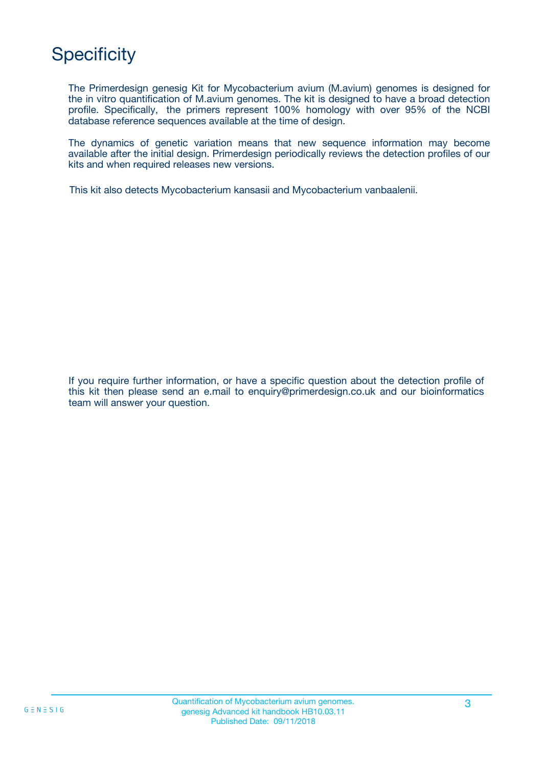# **Specificity**

The Primerdesign genesig Kit for Mycobacterium avium (M.avium) genomes is designed for the in vitro quantification of M.avium genomes. The kit is designed to have a broad detection profile. Specifically, the primers represent 100% homology with over 95% of the NCBI database reference sequences available at the time of design.

The dynamics of genetic variation means that new sequence information may become available after the initial design. Primerdesign periodically reviews the detection profiles of our kits and when required releases new versions.

This kit also detects Mycobacterium kansasii and Mycobacterium vanbaalenii.

If you require further information, or have a specific question about the detection profile of this kit then please send an e.mail to enquiry@primerdesign.co.uk and our bioinformatics team will answer your question.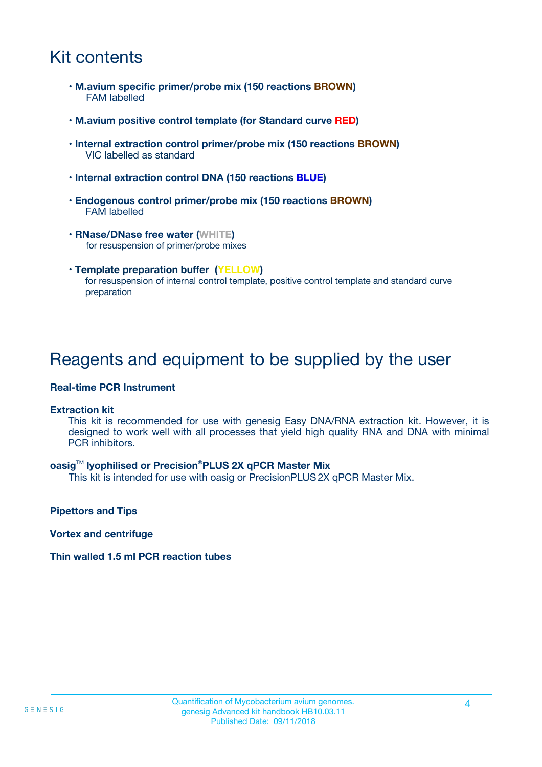## Kit contents

- **M.avium specific primer/probe mix (150 reactions BROWN)** FAM labelled
- **M.avium positive control template (for Standard curve RED)**
- **Internal extraction control primer/probe mix (150 reactions BROWN)** VIC labelled as standard
- **Internal extraction control DNA (150 reactions BLUE)**
- **Endogenous control primer/probe mix (150 reactions BROWN)** FAM labelled
- **RNase/DNase free water (WHITE)** for resuspension of primer/probe mixes
- **Template preparation buffer (YELLOW)** for resuspension of internal control template, positive control template and standard curve preparation

### Reagents and equipment to be supplied by the user

#### **Real-time PCR Instrument**

#### **Extraction kit**

This kit is recommended for use with genesig Easy DNA/RNA extraction kit. However, it is designed to work well with all processes that yield high quality RNA and DNA with minimal PCR inhibitors.

#### **oasig**TM **lyophilised or Precision**®**PLUS 2X qPCR Master Mix**

This kit is intended for use with oasig or PrecisionPLUS2X qPCR Master Mix.

**Pipettors and Tips**

**Vortex and centrifuge**

#### **Thin walled 1.5 ml PCR reaction tubes**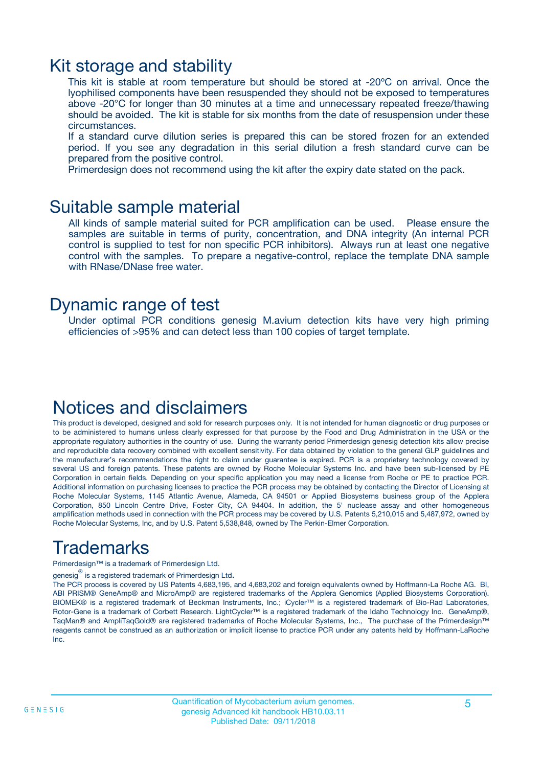### Kit storage and stability

This kit is stable at room temperature but should be stored at -20ºC on arrival. Once the lyophilised components have been resuspended they should not be exposed to temperatures above -20°C for longer than 30 minutes at a time and unnecessary repeated freeze/thawing should be avoided. The kit is stable for six months from the date of resuspension under these circumstances.

If a standard curve dilution series is prepared this can be stored frozen for an extended period. If you see any degradation in this serial dilution a fresh standard curve can be prepared from the positive control.

Primerdesign does not recommend using the kit after the expiry date stated on the pack.

### Suitable sample material

All kinds of sample material suited for PCR amplification can be used. Please ensure the samples are suitable in terms of purity, concentration, and DNA integrity (An internal PCR control is supplied to test for non specific PCR inhibitors). Always run at least one negative control with the samples. To prepare a negative-control, replace the template DNA sample with RNase/DNase free water.

### Dynamic range of test

Under optimal PCR conditions genesig M.avium detection kits have very high priming efficiencies of >95% and can detect less than 100 copies of target template.

## Notices and disclaimers

This product is developed, designed and sold for research purposes only. It is not intended for human diagnostic or drug purposes or to be administered to humans unless clearly expressed for that purpose by the Food and Drug Administration in the USA or the appropriate regulatory authorities in the country of use. During the warranty period Primerdesign genesig detection kits allow precise and reproducible data recovery combined with excellent sensitivity. For data obtained by violation to the general GLP guidelines and the manufacturer's recommendations the right to claim under guarantee is expired. PCR is a proprietary technology covered by several US and foreign patents. These patents are owned by Roche Molecular Systems Inc. and have been sub-licensed by PE Corporation in certain fields. Depending on your specific application you may need a license from Roche or PE to practice PCR. Additional information on purchasing licenses to practice the PCR process may be obtained by contacting the Director of Licensing at Roche Molecular Systems, 1145 Atlantic Avenue, Alameda, CA 94501 or Applied Biosystems business group of the Applera Corporation, 850 Lincoln Centre Drive, Foster City, CA 94404. In addition, the 5' nuclease assay and other homogeneous amplification methods used in connection with the PCR process may be covered by U.S. Patents 5,210,015 and 5,487,972, owned by Roche Molecular Systems, Inc, and by U.S. Patent 5,538,848, owned by The Perkin-Elmer Corporation.

# Trademarks

Primerdesign™ is a trademark of Primerdesign Ltd.

genesig $^\circledR$  is a registered trademark of Primerdesign Ltd.

The PCR process is covered by US Patents 4,683,195, and 4,683,202 and foreign equivalents owned by Hoffmann-La Roche AG. BI, ABI PRISM® GeneAmp® and MicroAmp® are registered trademarks of the Applera Genomics (Applied Biosystems Corporation). BIOMEK® is a registered trademark of Beckman Instruments, Inc.; iCycler™ is a registered trademark of Bio-Rad Laboratories, Rotor-Gene is a trademark of Corbett Research. LightCycler™ is a registered trademark of the Idaho Technology Inc. GeneAmp®, TaqMan® and AmpliTaqGold® are registered trademarks of Roche Molecular Systems, Inc., The purchase of the Primerdesign™ reagents cannot be construed as an authorization or implicit license to practice PCR under any patents held by Hoffmann-LaRoche Inc.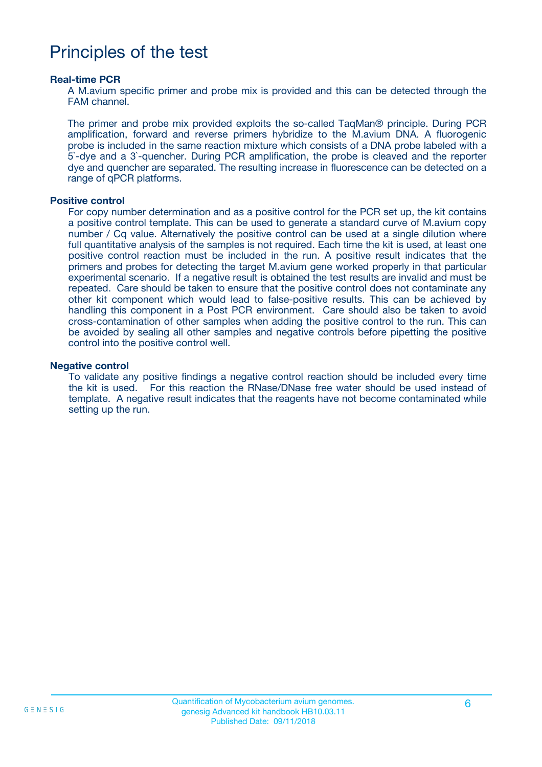### Principles of the test

#### **Real-time PCR**

A M.avium specific primer and probe mix is provided and this can be detected through the FAM channel.

The primer and probe mix provided exploits the so-called TaqMan® principle. During PCR amplification, forward and reverse primers hybridize to the M.avium DNA. A fluorogenic probe is included in the same reaction mixture which consists of a DNA probe labeled with a 5`-dye and a 3`-quencher. During PCR amplification, the probe is cleaved and the reporter dye and quencher are separated. The resulting increase in fluorescence can be detected on a range of qPCR platforms.

#### **Positive control**

For copy number determination and as a positive control for the PCR set up, the kit contains a positive control template. This can be used to generate a standard curve of M.avium copy number / Cq value. Alternatively the positive control can be used at a single dilution where full quantitative analysis of the samples is not required. Each time the kit is used, at least one positive control reaction must be included in the run. A positive result indicates that the primers and probes for detecting the target M.avium gene worked properly in that particular experimental scenario. If a negative result is obtained the test results are invalid and must be repeated. Care should be taken to ensure that the positive control does not contaminate any other kit component which would lead to false-positive results. This can be achieved by handling this component in a Post PCR environment. Care should also be taken to avoid cross-contamination of other samples when adding the positive control to the run. This can be avoided by sealing all other samples and negative controls before pipetting the positive control into the positive control well.

#### **Negative control**

To validate any positive findings a negative control reaction should be included every time the kit is used. For this reaction the RNase/DNase free water should be used instead of template. A negative result indicates that the reagents have not become contaminated while setting up the run.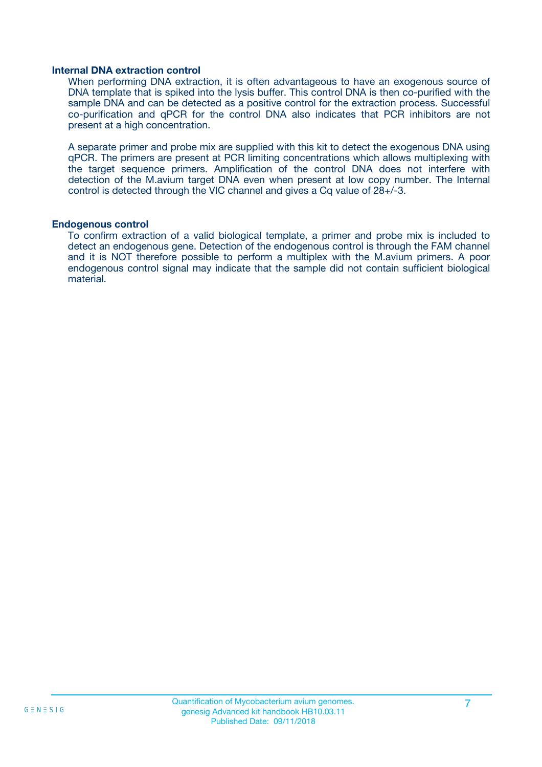#### **Internal DNA extraction control**

When performing DNA extraction, it is often advantageous to have an exogenous source of DNA template that is spiked into the lysis buffer. This control DNA is then co-purified with the sample DNA and can be detected as a positive control for the extraction process. Successful co-purification and qPCR for the control DNA also indicates that PCR inhibitors are not present at a high concentration.

A separate primer and probe mix are supplied with this kit to detect the exogenous DNA using qPCR. The primers are present at PCR limiting concentrations which allows multiplexing with the target sequence primers. Amplification of the control DNA does not interfere with detection of the M.avium target DNA even when present at low copy number. The Internal control is detected through the VIC channel and gives a Cq value of 28+/-3.

#### **Endogenous control**

To confirm extraction of a valid biological template, a primer and probe mix is included to detect an endogenous gene. Detection of the endogenous control is through the FAM channel and it is NOT therefore possible to perform a multiplex with the M.avium primers. A poor endogenous control signal may indicate that the sample did not contain sufficient biological material.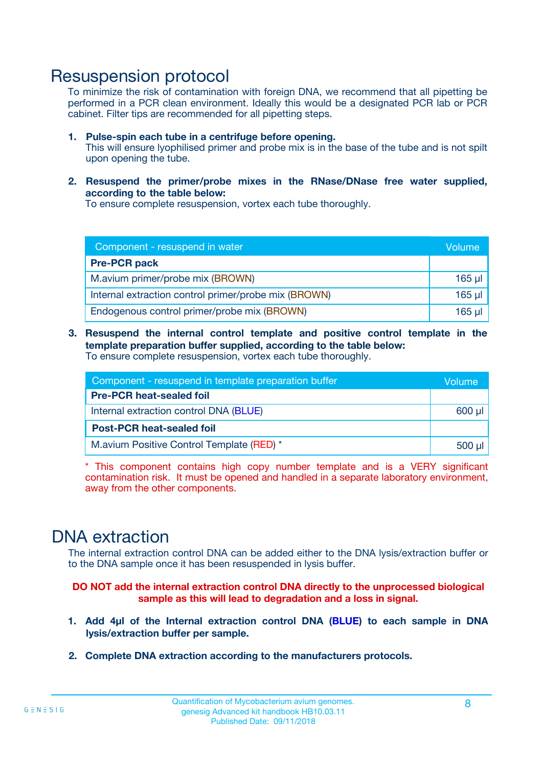### Resuspension protocol

To minimize the risk of contamination with foreign DNA, we recommend that all pipetting be performed in a PCR clean environment. Ideally this would be a designated PCR lab or PCR cabinet. Filter tips are recommended for all pipetting steps.

- **1. Pulse-spin each tube in a centrifuge before opening.** This will ensure lyophilised primer and probe mix is in the base of the tube and is not spilt upon opening the tube.
- **2. Resuspend the primer/probe mixes in the RNase/DNase free water supplied, according to the table below:**

To ensure complete resuspension, vortex each tube thoroughly.

| Component - resuspend in water                       |          |  |
|------------------------------------------------------|----------|--|
| <b>Pre-PCR pack</b>                                  |          |  |
| M.avium primer/probe mix (BROWN)                     | $165$ µ  |  |
| Internal extraction control primer/probe mix (BROWN) | $165$ µl |  |
| Endogenous control primer/probe mix (BROWN)          | 165 µl   |  |

**3. Resuspend the internal control template and positive control template in the template preparation buffer supplied, according to the table below:** To ensure complete resuspension, vortex each tube thoroughly.

| Component - resuspend in template preparation buffer |  |  |  |
|------------------------------------------------------|--|--|--|
| <b>Pre-PCR heat-sealed foil</b>                      |  |  |  |
| Internal extraction control DNA (BLUE)               |  |  |  |
| <b>Post-PCR heat-sealed foil</b>                     |  |  |  |
| M.avium Positive Control Template (RED) *            |  |  |  |

\* This component contains high copy number template and is a VERY significant contamination risk. It must be opened and handled in a separate laboratory environment, away from the other components.

### DNA extraction

The internal extraction control DNA can be added either to the DNA lysis/extraction buffer or to the DNA sample once it has been resuspended in lysis buffer.

**DO NOT add the internal extraction control DNA directly to the unprocessed biological sample as this will lead to degradation and a loss in signal.**

- **1. Add 4µl of the Internal extraction control DNA (BLUE) to each sample in DNA lysis/extraction buffer per sample.**
- **2. Complete DNA extraction according to the manufacturers protocols.**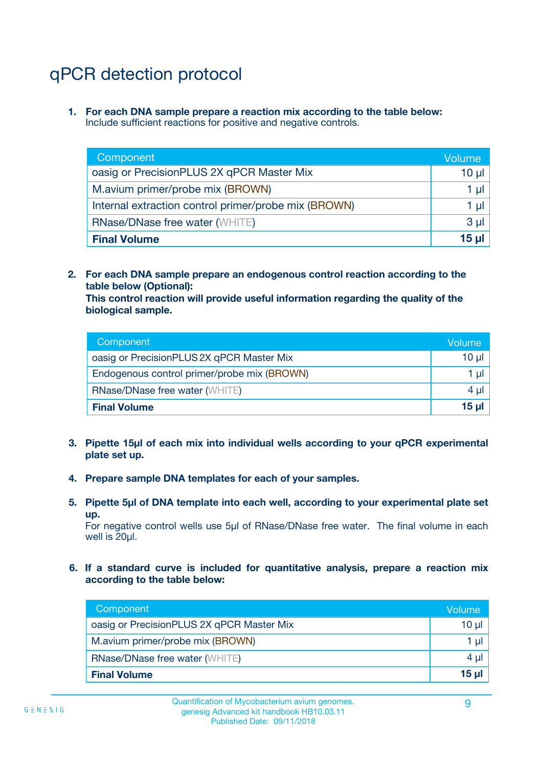# qPCR detection protocol

**1. For each DNA sample prepare a reaction mix according to the table below:** Include sufficient reactions for positive and negative controls.

| Component                                            | Volume   |
|------------------------------------------------------|----------|
| oasig or PrecisionPLUS 2X qPCR Master Mix            | $10 \mu$ |
| M.avium primer/probe mix (BROWN)                     | 1 µI l   |
| Internal extraction control primer/probe mix (BROWN) | 1 µl     |
| <b>RNase/DNase free water (WHITE)</b>                | $3 \mu$  |
| <b>Final Volume</b>                                  | 15 µl    |

**2. For each DNA sample prepare an endogenous control reaction according to the table below (Optional):**

**This control reaction will provide useful information regarding the quality of the biological sample.**

| Component                                   | Volume          |
|---------------------------------------------|-----------------|
| oasig or PrecisionPLUS 2X qPCR Master Mix   | $10 \mu$        |
| Endogenous control primer/probe mix (BROWN) | 1 µI            |
| <b>RNase/DNase free water (WHITE)</b>       | 4 µl            |
| <b>Final Volume</b>                         | 15 <sub>µ</sub> |

- **3. Pipette 15µl of each mix into individual wells according to your qPCR experimental plate set up.**
- **4. Prepare sample DNA templates for each of your samples.**
- **5. Pipette 5µl of DNA template into each well, according to your experimental plate set up.**

For negative control wells use 5µl of RNase/DNase free water. The final volume in each well is 20ul.

**6. If a standard curve is included for quantitative analysis, prepare a reaction mix according to the table below:**

| Component                                 | Volume  |
|-------------------------------------------|---------|
| oasig or PrecisionPLUS 2X qPCR Master Mix | 10 µl   |
| M.avium primer/probe mix (BROWN)          | 1 µI    |
| <b>RNase/DNase free water (WHITE)</b>     | $4 \mu$ |
| <b>Final Volume</b>                       | 15 µl   |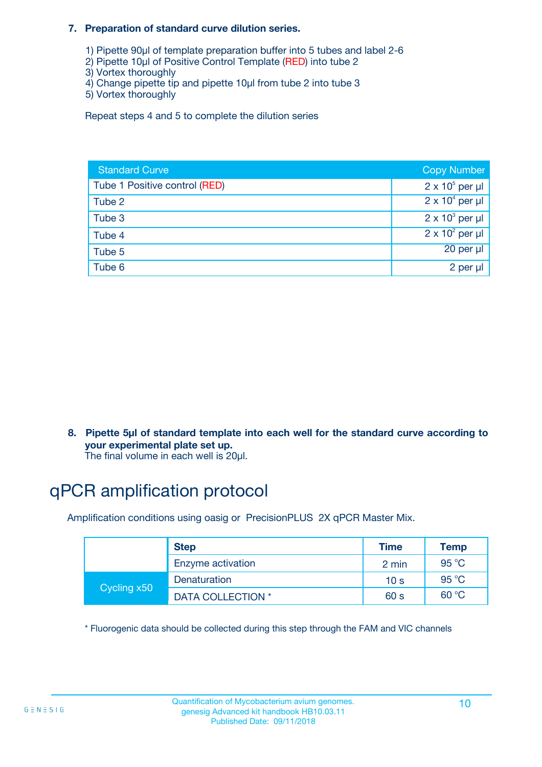#### **7. Preparation of standard curve dilution series.**

- 1) Pipette 90µl of template preparation buffer into 5 tubes and label 2-6
- 2) Pipette 10µl of Positive Control Template (RED) into tube 2
- 3) Vortex thoroughly
- 4) Change pipette tip and pipette 10µl from tube 2 into tube 3
- 5) Vortex thoroughly

Repeat steps 4 and 5 to complete the dilution series

| <b>Standard Curve</b>         | <b>Copy Number</b>     |
|-------------------------------|------------------------|
| Tube 1 Positive control (RED) | $2 \times 10^5$ per µl |
| Tube 2                        | $2 \times 10^4$ per µl |
| Tube 3                        | $2 \times 10^3$ per µl |
| Tube 4                        | $2 \times 10^2$ per µl |
| Tube 5                        | 20 per µl              |
| Tube 6                        | 2 per µl               |

**8. Pipette 5µl of standard template into each well for the standard curve according to your experimental plate set up.**

#### The final volume in each well is 20µl.

# qPCR amplification protocol

Amplification conditions using oasig or PrecisionPLUS 2X qPCR Master Mix.

|             | <b>Step</b>       | <b>Time</b>     | Temp    |
|-------------|-------------------|-----------------|---------|
|             | Enzyme activation | 2 min           | 95 °C   |
| Cycling x50 | Denaturation      | 10 <sub>s</sub> | 95 $°C$ |
|             | DATA COLLECTION * | 60 s            | 60 °C   |

\* Fluorogenic data should be collected during this step through the FAM and VIC channels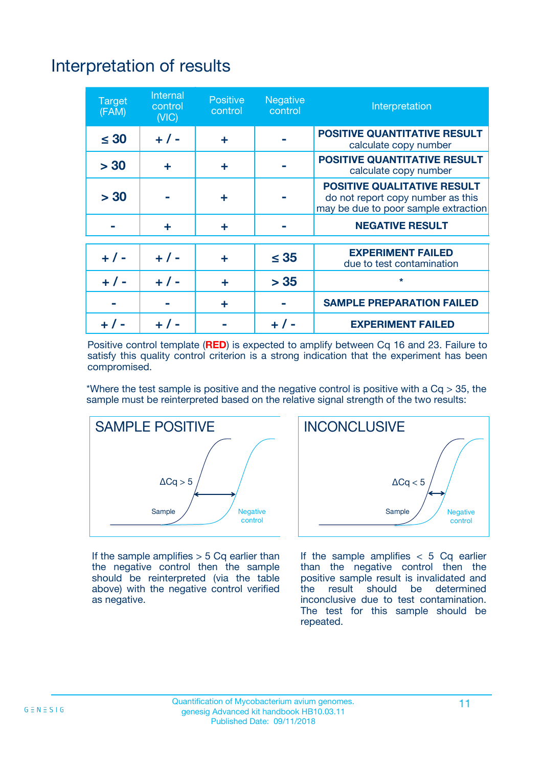# Interpretation of results

| <b>Target</b><br>(FAM) | <b>Internal</b><br>control<br>(NIC) | <b>Positive</b><br>control | <b>Negative</b><br>control | Interpretation                                                                                                  |
|------------------------|-------------------------------------|----------------------------|----------------------------|-----------------------------------------------------------------------------------------------------------------|
| $\leq 30$              | $+ 1 -$                             | ÷                          |                            | <b>POSITIVE QUANTITATIVE RESULT</b><br>calculate copy number                                                    |
| > 30                   | ٠                                   | ÷                          |                            | <b>POSITIVE QUANTITATIVE RESULT</b><br>calculate copy number                                                    |
| > 30                   |                                     | ÷                          |                            | <b>POSITIVE QUALITATIVE RESULT</b><br>do not report copy number as this<br>may be due to poor sample extraction |
|                        | ÷                                   | ÷                          |                            | <b>NEGATIVE RESULT</b>                                                                                          |
| $+ 1 -$                | $+ 1 -$                             | ÷                          | $\leq$ 35                  | <b>EXPERIMENT FAILED</b><br>due to test contamination                                                           |
| $+$ / -                | $+ 1 -$                             | ÷                          | > 35                       | $\star$                                                                                                         |
|                        |                                     | ÷                          |                            | <b>SAMPLE PREPARATION FAILED</b>                                                                                |
|                        |                                     |                            | $+$ /                      | <b>EXPERIMENT FAILED</b>                                                                                        |

Positive control template (**RED**) is expected to amplify between Cq 16 and 23. Failure to satisfy this quality control criterion is a strong indication that the experiment has been compromised.

\*Where the test sample is positive and the negative control is positive with a  $Ca > 35$ , the sample must be reinterpreted based on the relative signal strength of the two results:



If the sample amplifies  $> 5$  Cq earlier than the negative control then the sample should be reinterpreted (via the table above) with the negative control verified as negative.



If the sample amplifies  $< 5$  Cq earlier than the negative control then the positive sample result is invalidated and<br>the result should be determined  $the$  result should be inconclusive due to test contamination. The test for this sample should be repeated.